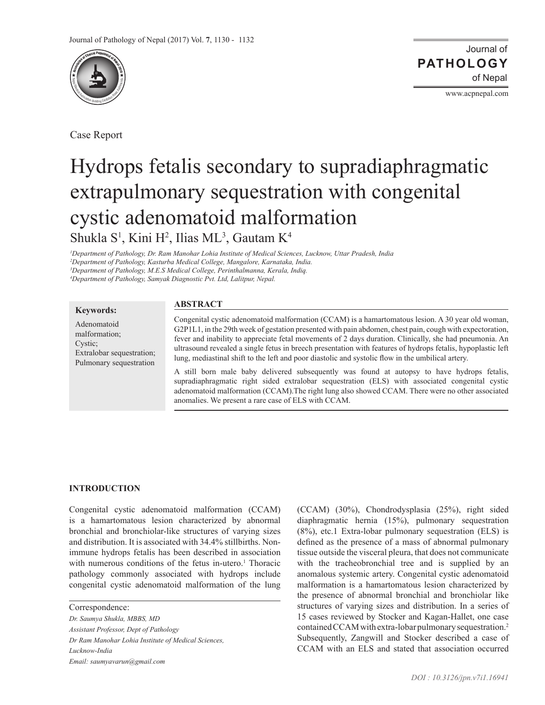

Case Report

Journal of of Nepal **PATHOLOGY**

www.acpnepal.com

# Hydrops fetalis secondary to supradiaphragmatic extrapulmonary sequestration with congenital cystic adenomatoid malformation Shukla S<sup>1</sup>, Kini H<sup>2</sup>, Ilias ML<sup>3</sup>, Gautam K<sup>4</sup>

*1 Department of Pathology, Dr. Ram Manohar Lohia Institute of Medical Sciences, Lucknow, Uttar Pradesh, India 2 Department of Pathology, Kasturba Medical College, Mangalore, Karnataka, India. 3 Department of Pathology, M.E.S Medical College, Perinthalmanna, Kerala, Indiq.*

*4 Department of Pathology, Samyak Diagnostic Pvt. Ltd, Lalitpur, Nepal.*

#### **Keywords:**

Adenomatoid malformation; Cystic; Extralobar sequestration; Pulmonary sequestration

## **ABSTRACT**

Congenital cystic adenomatoid malformation (CCAM) is a hamartomatous lesion. A 30 year old woman, G2P1L1, in the 29th week of gestation presented with pain abdomen, chest pain, cough with expectoration, fever and inability to appreciate fetal movements of 2 days duration. Clinically, she had pneumonia. An ultrasound revealed a single fetus in breech presentation with features of hydrops fetalis, hypoplastic left lung, mediastinal shift to the left and poor diastolic and systolic flow in the umbilical artery.

A still born male baby delivered subsequently was found at autopsy to have hydrops fetalis, supradiaphragmatic right sided extralobar sequestration (ELS) with associated congenital cystic adenomatoid malformation (CCAM).The right lung also showed CCAM. There were no other associated anomalies. We present a rare case of ELS with CCAM.

#### **INTRODUCTION**

Congenital cystic adenomatoid malformation (CCAM) is a hamartomatous lesion characterized by abnormal bronchial and bronchiolar-like structures of varying sizes and distribution. It is associated with 34.4% stillbirths. Nonimmune hydrops fetalis has been described in association with numerous conditions of the fetus in-utero.<sup>1</sup> Thoracic pathology commonly associated with hydrops include congenital cystic adenomatoid malformation of the lung

*Dr. Saumya Shukla, MBBS, MD*

*Dr Ram Manohar Lohia Institute of Medical Sciences,* 

*Lucknow-India*

*Email: saumyavarun@gmail.com* 

(CCAM) (30%), Chondrodysplasia (25%), right sided diaphragmatic hernia (15%), pulmonary sequestration (8%), etc.1 Extra-lobar pulmonary sequestration (ELS) is defined as the presence of a mass of abnormal pulmonary tissue outside the visceral pleura, that does not communicate with the tracheobronchial tree and is supplied by an anomalous systemic artery. Congenital cystic adenomatoid malformation is a hamartomatous lesion characterized by the presence of abnormal bronchial and bronchiolar like structures of varying sizes and distribution. In a series of 15 cases reviewed by Stocker and Kagan-Hallet, one case contained CCAM with extra-lobar pulmonary sequestration.2 Subsequently, Zangwill and Stocker described a case of CCAM with an ELS and stated that association occurred

Correspondence:

*Assistant Professor, Dept of Pathology*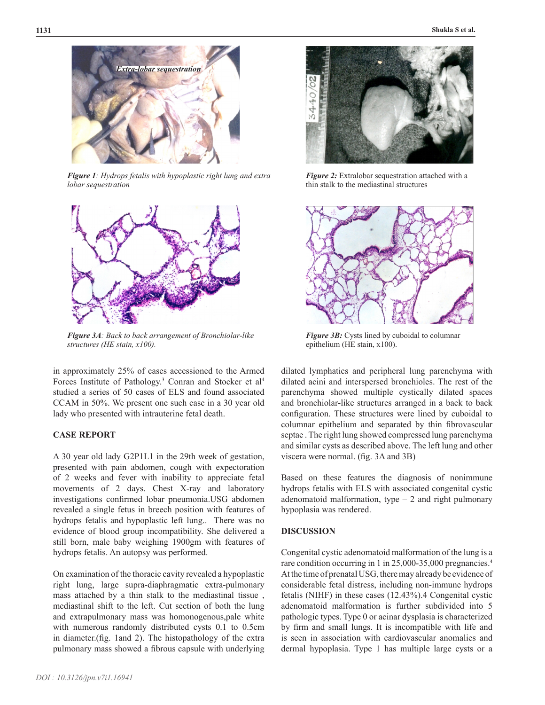

*Figure 1: Hydrops fetalis with hypoplastic right lung and extra lobar sequestration*



*Figure 3A: Back to back arrangement of Bronchiolar-like structures (HE stain, x100).*

in approximately 25% of cases accessioned to the Armed Forces Institute of Pathology.<sup>3</sup> Conran and Stocker et al<sup>4</sup> studied a series of 50 cases of ELS and found associated CCAM in 50%. We present one such case in a 30 year old lady who presented with intrauterine fetal death.

# **CASE REPORT**

A 30 year old lady G2P1L1 in the 29th week of gestation, presented with pain abdomen, cough with expectoration of 2 weeks and fever with inability to appreciate fetal movements of 2 days. Chest X-ray and laboratory investigations confirmed lobar pneumonia.USG abdomen revealed a single fetus in breech position with features of hydrops fetalis and hypoplastic left lung.. There was no evidence of blood group incompatibility. She delivered a still born, male baby weighing 1900gm with features of hydrops fetalis. An autopsy was performed.

On examination of the thoracic cavity revealed a hypoplastic right lung, large supra-diaphragmatic extra-pulmonary mass attached by a thin stalk to the mediastinal tissue , mediastinal shift to the left. Cut section of both the lung and extrapulmonary mass was homonogenous,pale white with numerous randomly distributed cysts 0.1 to 0.5cm in diameter.(fig. 1and 2). The histopathology of the extra pulmonary mass showed a fibrous capsule with underlying



*Figure 2:* Extralobar sequestration attached with a thin stalk to the mediastinal structures



*Figure 3B:* Cysts lined by cuboidal to columnar epithelium (HE stain, x100).

dilated lymphatics and peripheral lung parenchyma with dilated acini and interspersed bronchioles. The rest of the parenchyma showed multiple cystically dilated spaces and bronchiolar-like structures arranged in a back to back configuration. These structures were lined by cuboidal to columnar epithelium and separated by thin fibrovascular septae . The right lung showed compressed lung parenchyma and similar cysts as described above. The left lung and other viscera were normal. (fig. 3A and 3B)

Based on these features the diagnosis of nonimmune hydrops fetalis with ELS with associated congenital cystic adenomatoid malformation, type  $-2$  and right pulmonary hypoplasia was rendered.

#### **DISCUSSION**

Congenital cystic adenomatoid malformation of the lung is a rare condition occurring in 1 in 25,000-35,000 pregnancies.<sup>4</sup> At the time of prenatal USG, there may already be evidence of considerable fetal distress, including non-immune hydrops fetalis (NIHF) in these cases (12.43%).4 Congenital cystic adenomatoid malformation is further subdivided into 5 pathologic types. Type 0 or acinar dysplasia is characterized by firm and small lungs. It is incompatible with life and is seen in association with cardiovascular anomalies and dermal hypoplasia. Type 1 has multiple large cysts or a